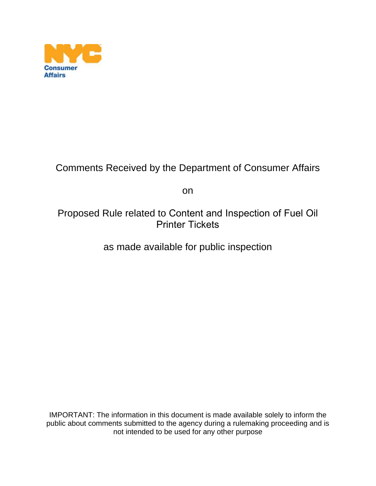

### Comments Received by the Department of Consumer Affairs

on

### Proposed Rule related to Content and Inspection of Fuel Oil Printer Tickets

as made available for public inspection

IMPORTANT: The information in this document is made available solely to inform the public about comments submitted to the agency during a rulemaking proceeding and is not intended to be used for any other purpose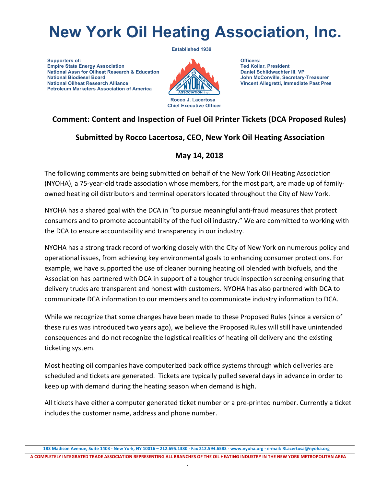# **New York Oil Heating Association, Inc.**

 **Supporters of: Empire State Energy Association National Assn for Oilheat Research & Education National Biodiesel Board National Oilheat Research Alliance Petroleum Marketers Association of America**



**Officers: Ted Kollar, President Daniel Schildwachter III, VP John McConville, Secretary-Treasurer Vincent Allegretti, Immediate Past Pres**

### **Comment: Content and Inspection of Fuel Oil Printer Tickets (DCA Proposed Rules)**

#### **Submitted by Rocco Lacertosa, CEO, New York Oil Heating Association**

#### **May 14, 2018**

The following comments are being submitted on behalf of the New York Oil Heating Association (NYOHA), a 75-year-old trade association whose members, for the most part, are made up of familyowned heating oil distributors and terminal operators located throughout the City of New York.

NYOHA has a shared goal with the DCA in "to pursue meaningful anti-fraud measures that protect consumers and to promote accountability of the fuel oil industry." We are committed to working with the DCA to ensure accountability and transparency in our industry.

NYOHA has a strong track record of working closely with the City of New York on numerous policy and operational issues, from achieving key environmental goals to enhancing consumer protections. For example, we have supported the use of cleaner burning heating oil blended with biofuels, and the Association has partnered with DCA in support of a tougher truck inspection screening ensuring that delivery trucks are transparent and honest with customers. NYOHA has also partnered with DCA to communicate DCA information to our members and to communicate industry information to DCA.

While we recognize that some changes have been made to these Proposed Rules (since a version of these rules was introduced two years ago), we believe the Proposed Rules will still have unintended consequences and do not recognize the logistical realities of heating oil delivery and the existing ticketing system.

Most heating oil companies have computerized back office systems through which deliveries are scheduled and tickets are generated. Tickets are typically pulled several days in advance in order to keep up with demand during the heating season when demand is high.

All tickets have either a computer generated ticket number or a pre-printed number. Currently a ticket includes the customer name, address and phone number.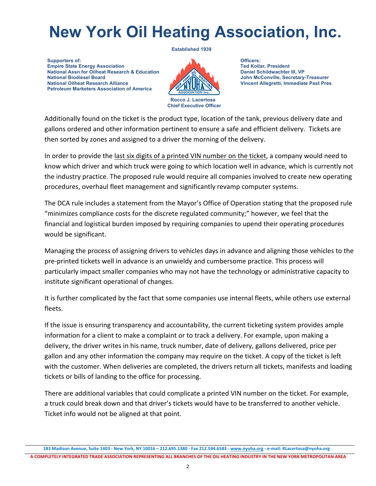# **New York Oil Heating Association, Inc.**

 **Supporters of: Empire State Energy Association National Assn for Oilheat Research & Education National Biodiesel Board National Oilheat Research Alliance Petroleum Marketers Association of America**



**Officers: Ted Kollar, President Daniel Schildwachter III, VP John McConville, Secretary-Treasurer Vincent Allegretti, Immediate Past Pres**

Additionally found on the ticket is the product type, location of the tank, previous delivery date and gallons ordered and other information pertinent to ensure a safe and efficient delivery. Tickets are then sorted by zones and assigned to a driver the morning of the delivery.

In order to provide the last six digits of a printed VIN number on the ticket, a company would need to know which driver and which truck were going to which location well in advance, which is currently not the industry practice. The proposed rule would require all companies involved to create new operating procedures, overhaul fleet management and significantly revamp computer systems.

The DCA rule includes a statement from the Mayor's Office of Operation stating that the proposed rule "minimizes compliance costs for the discrete regulated community;" however, we feel that the financial and logistical burden imposed by requiring companies to upend their operating procedures would be significant.

Managing the process of assigning drivers to vehicles days in advance and aligning those vehicles to the pre-printed tickets well in advance is an unwieldy and cumbersome practice. This process will particularly impact smaller companies who may not have the technology or administrative capacity to institute significant operational of changes.

It is further complicated by the fact that some companies use internal fleets, while others use external fleets. 

If the issue is ensuring transparency and accountability, the current ticketing system provides ample information for a client to make a complaint or to track a delivery. For example, upon making a delivery, the driver writes in his name, truck number, date of delivery, gallons delivered, price per gallon and any other information the company may require on the ticket. A copy of the ticket is left with the customer. When deliveries are completed, the drivers return all tickets, manifests and loading tickets or bills of landing to the office for processing.

There are additional variables that could complicate a printed VIN number on the ticket. For example, a truck could break down and that driver's tickets would have to be transferred to another vehicle. Ticket info would not be aligned at that point.

<sup>183</sup> Madison Avenue, Suite 1403 - New York, NY 10016 - 212.695.1380 - Fax 212.594.6583 - www.nyoha.org - e-mail: RLacertosa@nyoha.org A COMPLETELY INTEGRATED TRADE ASSOCIATION REPRESENTING ALL BRANCHES OF THE OIL HEATING INDUSTRY IN THE NEW YORK METROPOLITAN AREA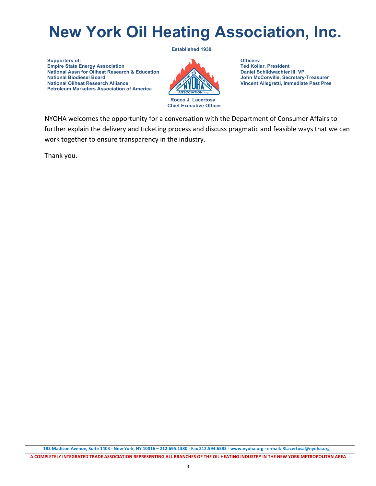# **New York Oil Heating Association, Inc.**

 **Supporters of: Empire State Energy Association National Assn for Oilheat Research & Education National Biodiesel Board National Oilheat Research Alliance Petroleum Marketers Association of America**



**Officers: Ted Kollar, President Daniel Schildwachter III, VP John McConville, Secretary-Treasurer Vincent Allegretti, Immediate Past Pres**

NYOHA welcomes the opportunity for a conversation with the Department of Consumer Affairs to further explain the delivery and ticketing process and discuss pragmatic and feasible ways that we can work together to ensure transparency in the industry.

Thank you.